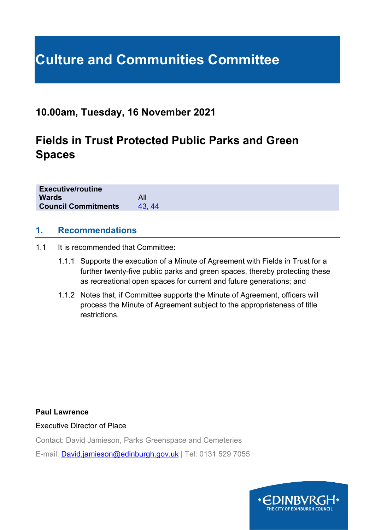# **Culture and Communities Committee**

# **10.00am, Tuesday, 16 November 2021**

# **Fields in Trust Protected Public Parks and Green Spaces**

| <b>Executive/routine</b>   |       |
|----------------------------|-------|
| <b>Wards</b>               | All   |
| <b>Council Commitments</b> | 43.44 |
|                            |       |

#### **1. Recommendations**

- 1.1 It is recommended that Committee:
	- 1.1.1 Supports the execution of a Minute of Agreement with Fields in Trust for a further twenty-five public parks and green spaces, thereby protecting these as recreational open spaces for current and future generations; and
	- 1.1.2 Notes that, if Committee supports the Minute of Agreement, officers will process the Minute of Agreement subject to the appropriateness of title restrictions.

**Paul Lawrence**

Executive Director of Place

Contact: David Jamieson, Parks Greenspace and Cemeteries

E-mail: [David.jamieson@edinburgh.gov.uk](mailto:David.jamieson@edinburgh.gov.uk) | Tel: 0131 529 7055

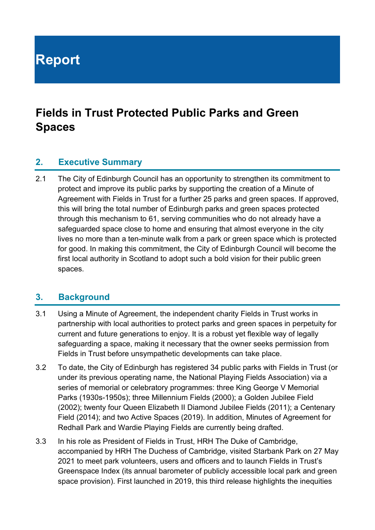**Report**

# **Fields in Trust Protected Public Parks and Green Spaces**

#### **2. Executive Summary**

2.1 The City of Edinburgh Council has an opportunity to strengthen its commitment to protect and improve its public parks by supporting the creation of a Minute of Agreement with Fields in Trust for a further 25 parks and green spaces. If approved, this will bring the total number of Edinburgh parks and green spaces protected through this mechanism to 61, serving communities who do not already have a safeguarded space close to home and ensuring that almost everyone in the city lives no more than a ten-minute walk from a park or green space which is protected for good. In making this commitment, the City of Edinburgh Council will become the first local authority in Scotland to adopt such a bold vision for their public green spaces.

#### **3. Background**

- 3.1 Using a Minute of Agreement, the independent charity Fields in Trust works in partnership with local authorities to protect parks and green spaces in perpetuity for current and future generations to enjoy. It is a robust yet flexible way of legally safeguarding a space, making it necessary that the owner seeks permission from Fields in Trust before unsympathetic developments can take place.
- 3.2 To date, the City of Edinburgh has registered 34 public parks with Fields in Trust (or under its previous operating name, the National Playing Fields Association) via a series of memorial or celebratory programmes: three King George V Memorial Parks (1930s-1950s); three Millennium Fields (2000); a Golden Jubilee Field (2002); twenty four Queen Elizabeth II Diamond Jubilee Fields (2011); a Centenary Field (2014); and two Active Spaces (2019). In addition, Minutes of Agreement for Redhall Park and Wardie Playing Fields are currently being drafted.
- 3.3 In his role as President of Fields in Trust, HRH The Duke of Cambridge, accompanied by HRH The Duchess of Cambridge, visited Starbank Park on 27 May 2021 to meet park volunteers, users and officers and to launch Fields in Trust's Greenspace Index (its annual barometer of publicly accessible local park and green space provision). First launched in 2019, this third release highlights the inequities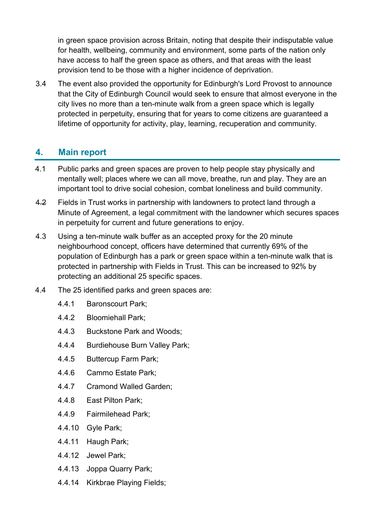in green space provision across Britain, noting that despite their indisputable value for health, wellbeing, community and environment, some parts of the nation only have access to half the green space as others, and that areas with the least provision tend to be those with a higher incidence of deprivation.

3.4 The event also provided the opportunity for Edinburgh's Lord Provost to announce that the City of Edinburgh Council would seek to ensure that almost everyone in the city lives no more than a ten-minute walk from a green space which is legally protected in perpetuity, ensuring that for years to come citizens are guaranteed a lifetime of opportunity for activity, play, learning, recuperation and community.

# **4. Main report**

- 4.1 Public parks and green spaces are proven to help people stay physically and mentally well; places where we can all move, breathe, run and play. They are an important tool to drive social cohesion, combat loneliness and build community.
- 4.2 Fields in Trust works in partnership with landowners to protect land through a Minute of Agreement, a legal commitment with the landowner which secures spaces in perpetuity for current and future generations to enjoy.
- 4.3 Using a ten-minute walk buffer as an accepted proxy for the 20 minute neighbourhood concept, officers have determined that currently 69% of the population of Edinburgh has a park or green space within a ten-minute walk that is protected in partnership with Fields in Trust. This can be increased to 92% by protecting an additional 25 specific spaces.
- 4.4 The 25 identified parks and green spaces are:
	- 4.4.1 Baronscourt Park;
	- 4.4.2 Bloomiehall Park;
	- 4.4.3 Buckstone Park and Woods;
	- 4.4.4 Burdiehouse Burn Valley Park;
	- 4.4.5 Buttercup Farm Park;
	- 4.4.6 Cammo Estate Park;
	- 4.4.7 Cramond Walled Garden;
	- 4.4.8 East Pilton Park;
	- 4.4.9 Fairmilehead Park;
	- 4.4.10 Gyle Park;
	- 4.4.11 Haugh Park;
	- 4.4.12 Jewel Park;
	- 4.4.13 Joppa Quarry Park;
	- 4.4.14 Kirkbrae Playing Fields;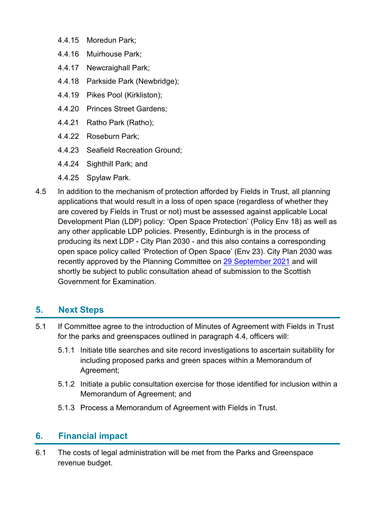- 4.4.15 Moredun Park;
- 4.4.16 Muirhouse Park;
- 4.4.17 Newcraighall Park;
- 4.4.18 Parkside Park (Newbridge);
- 4.4.19 Pikes Pool (Kirkliston);
- 4.4.20 Princes Street Gardens;
- 4.4.21 Ratho Park (Ratho);
- 4.4.22 Roseburn Park;
- 4.4.23 Seafield Recreation Ground;
- 4.4.24 Sighthill Park; and
- 4.4.25 Spylaw Park.
- 4.5 In addition to the mechanism of protection afforded by Fields in Trust, all planning applications that would result in a loss of open space (regardless of whether they are covered by Fields in Trust or not) must be assessed against applicable Local Development Plan (LDP) policy: 'Open Space Protection' (Policy Env 18) as well as any other applicable LDP policies. Presently, Edinburgh is in the process of producing its next LDP - City Plan 2030 - and this also contains a corresponding open space policy called 'Protection of Open Space' (Env 23). City Plan 2030 was recently approved by the Planning Committee on [29 September](https://democracy.edinburgh.gov.uk/ieListDocuments.aspx?CId=147&MId=6160&Ver=4) 2021 and will shortly be subject to public consultation ahead of submission to the Scottish Government for Examination.

#### **5. Next Steps**

- 5.1 If Committee agree to the introduction of Minutes of Agreement with Fields in Trust for the parks and greenspaces outlined in paragraph 4.4, officers will:
	- 5.1.1 Initiate title searches and site record investigations to ascertain suitability for including proposed parks and green spaces within a Memorandum of Agreement;
	- 5.1.2 Initiate a public consultation exercise for those identified for inclusion within a Memorandum of Agreement; and
	- 5.1.3 Process a Memorandum of Agreement with Fields in Trust.

# **6. Financial impact**

6.1 The costs of legal administration will be met from the Parks and Greenspace revenue budget.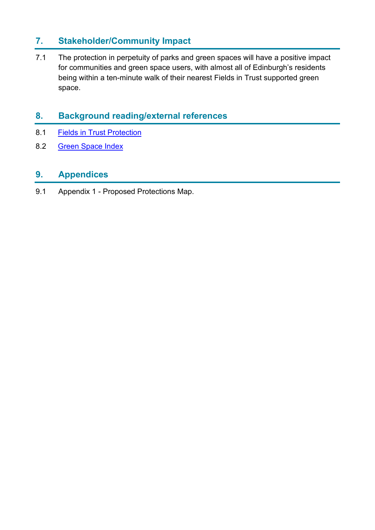# **7. Stakeholder/Community Impact**

7.1 The protection in perpetuity of parks and green spaces will have a positive impact for communities and green space users, with almost all of Edinburgh's residents being within a ten-minute walk of their nearest Fields in Trust supported green space.

# **8. Background reading/external references**

- 8.1 [Fields in Trust Protection](https://www.fieldsintrust.org/knowledge-base/fields-in-trust-protection)
- 8.2 [Green Space Index](https://www.fieldsintrust.org/green-space-index)

#### **9. Appendices**

9.1 Appendix 1 - Proposed Protections Map.